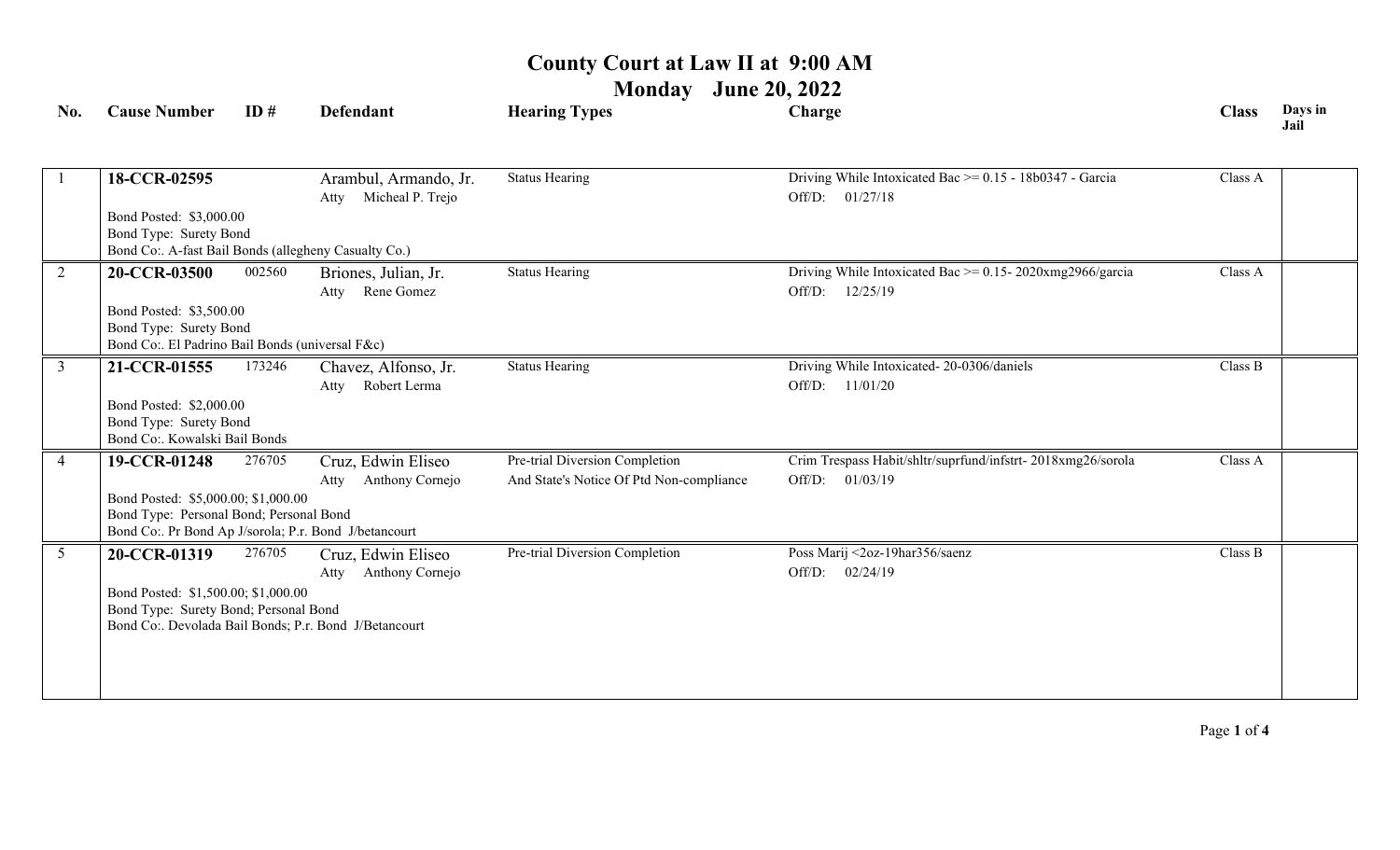**Monday June 20, 2022**

| No.             | <b>Cause Number</b>                                                                                                                                     | ID#                                                                                                       | <b>Defendant</b>                                                                                       | <b>Hearing Types</b>                                                       | Charge                                                                           | <b>Class</b> | Days in<br>Jail |  |  |
|-----------------|---------------------------------------------------------------------------------------------------------------------------------------------------------|-----------------------------------------------------------------------------------------------------------|--------------------------------------------------------------------------------------------------------|----------------------------------------------------------------------------|----------------------------------------------------------------------------------|--------------|-----------------|--|--|
|                 | 18-CCR-02595                                                                                                                                            |                                                                                                           | Arambul, Armando, Jr.<br>Micheal P. Trejo<br>Atty                                                      | <b>Status Hearing</b>                                                      | Driving While Intoxicated Bac >= 0.15 - 18b0347 - Garcia<br>Off/D: 01/27/18      | Class A      |                 |  |  |
|                 |                                                                                                                                                         | Bond Posted: \$3,000.00<br>Bond Type: Surety Bond<br>Bond Co:. A-fast Bail Bonds (allegheny Casualty Co.) |                                                                                                        |                                                                            |                                                                                  |              |                 |  |  |
| 2               | 20-CCR-03500                                                                                                                                            | 002560                                                                                                    | Briones, Julian, Jr.<br>Rene Gomez<br>Atty                                                             | <b>Status Hearing</b>                                                      | Driving While Intoxicated Bac $\ge$ = 0.15-2020xmg2966/garcia<br>Off/D: 12/25/19 | Class A      |                 |  |  |
|                 |                                                                                                                                                         | Bond Posted: \$3,500.00<br>Bond Type: Surety Bond<br>Bond Co:. El Padrino Bail Bonds (universal F&c)      |                                                                                                        |                                                                            |                                                                                  |              |                 |  |  |
| $\mathfrak{Z}$  | 21-CCR-01555<br>Bond Posted: \$2,000.00<br>Bond Type: Surety Bond<br>Bond Co:. Kowalski Bail Bonds                                                      | 173246                                                                                                    | Chavez, Alfonso, Jr.<br>Robert Lerma<br>Atty                                                           | <b>Status Hearing</b>                                                      | Driving While Intoxicated-20-0306/daniels<br>Off/D: 11/01/20                     | Class B      |                 |  |  |
| $\overline{4}$  | 19-CCR-01248<br>Bond Posted: \$5,000.00; \$1,000.00<br>Bond Type: Personal Bond; Personal Bond<br>Bond Co:. Pr Bond Ap J/sorola; P.r. Bond J/betancourt | 276705                                                                                                    | Cruz, Edwin Eliseo<br>Anthony Cornejo<br>Atty                                                          | Pre-trial Diversion Completion<br>And State's Notice Of Ptd Non-compliance | Crim Trespass Habit/shltr/suprfund/infstrt-2018xmg26/sorola<br>Off/D: 01/03/19   | Class A      |                 |  |  |
| $5\overline{)}$ | 20-CCR-01319<br>Bond Posted: \$1,500.00; \$1,000.00<br>Bond Type: Surety Bond; Personal Bond                                                            | 276705                                                                                                    | Cruz, Edwin Eliseo<br>Anthony Cornejo<br>Atty<br>Bond Co:. Devolada Bail Bonds; P.r. Bond J/Betancourt | Pre-trial Diversion Completion                                             | Poss Marij <2oz-19har356/saenz<br>Off/D: 02/24/19                                | Class B      |                 |  |  |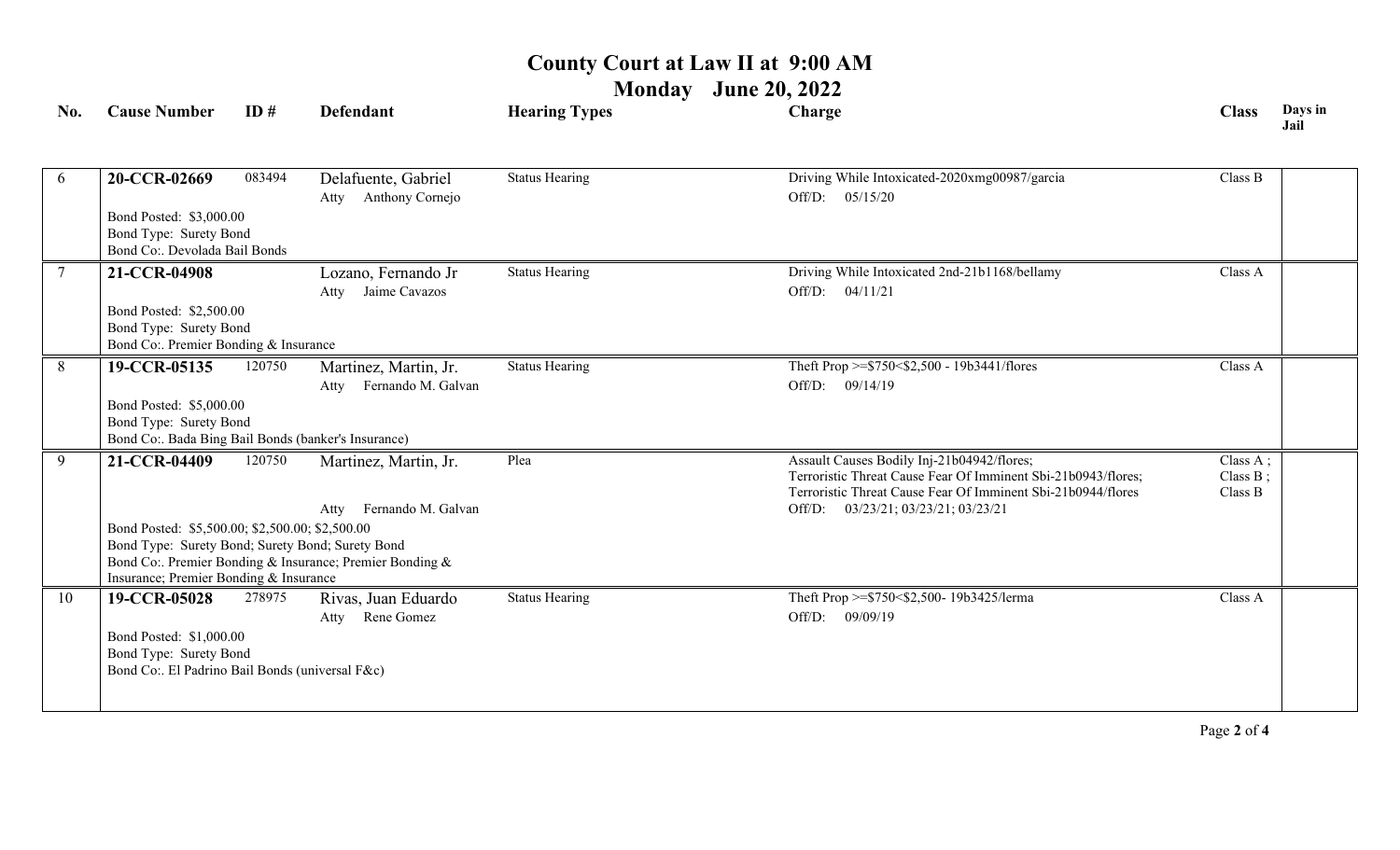**Monday June 20, 2022**

| No.             | <b>Cause Number</b>                                                                                      | ID#    | <b>Defendant</b>                               | <b>Hearing Types</b>  | Charge                                                                                                                                                                      | <b>Class</b>                    | Days in<br>Jail |  |
|-----------------|----------------------------------------------------------------------------------------------------------|--------|------------------------------------------------|-----------------------|-----------------------------------------------------------------------------------------------------------------------------------------------------------------------------|---------------------------------|-----------------|--|
| 6               | 20-CCR-02669                                                                                             | 083494 | Delafuente, Gabriel<br>Anthony Cornejo<br>Atty | <b>Status Hearing</b> | Driving While Intoxicated-2020xmg00987/garcia<br>Off/D: 05/15/20                                                                                                            | Class B                         |                 |  |
|                 | Bond Posted: \$3,000.00<br>Bond Type: Surety Bond<br>Bond Co:. Devolada Bail Bonds                       |        |                                                |                       |                                                                                                                                                                             |                                 |                 |  |
| $7\phantom{.0}$ | 21-CCR-04908                                                                                             |        | Lozano, Fernando Jr                            | <b>Status Hearing</b> | Driving While Intoxicated 2nd-21b1168/bellamy                                                                                                                               | Class A                         |                 |  |
|                 | Bond Posted: \$2,500.00<br>Bond Type: Surety Bond<br>Bond Co:. Premier Bonding & Insurance               |        | Atty Jaime Cavazos                             |                       | Off/D: 04/11/21                                                                                                                                                             |                                 |                 |  |
| 8               | 19-CCR-05135                                                                                             | 120750 | Martinez, Martin, Jr.                          | <b>Status Hearing</b> | Theft Prop >=\$750<\$2,500 - 19b3441/flores                                                                                                                                 | Class A                         |                 |  |
|                 |                                                                                                          |        | Fernando M. Galvan<br>Atty                     |                       | Off/D: 09/14/19                                                                                                                                                             |                                 |                 |  |
|                 | Bond Posted: \$5,000.00<br>Bond Type: Surety Bond<br>Bond Co:. Bada Bing Bail Bonds (banker's Insurance) |        |                                                |                       |                                                                                                                                                                             |                                 |                 |  |
| 9               | 21-CCR-04409                                                                                             | 120750 | Martinez, Martin, Jr.                          | Plea                  | Assault Causes Bodily Inj-21b04942/flores;<br>Terroristic Threat Cause Fear Of Imminent Sbi-21b0943/flores;<br>Terroristic Threat Cause Fear Of Imminent Sbi-21b0944/flores | Class A;<br>Class B;<br>Class B |                 |  |
|                 |                                                                                                          |        | Fernando M. Galvan<br>Atty                     |                       | 03/23/21; 03/23/21; 03/23/21<br>Off/D:                                                                                                                                      |                                 |                 |  |
|                 | Bond Posted: \$5,500.00; \$2,500.00; \$2,500.00<br>Bond Type: Surety Bond; Surety Bond; Surety Bond      |        |                                                |                       |                                                                                                                                                                             |                                 |                 |  |
|                 | Bond Co: Premier Bonding & Insurance; Premier Bonding &<br>Insurance; Premier Bonding & Insurance        |        |                                                |                       |                                                                                                                                                                             |                                 |                 |  |
| 10              | 19-CCR-05028                                                                                             | 278975 | Rivas, Juan Eduardo<br>Rene Gomez<br>Atty      | <b>Status Hearing</b> | Theft Prop >=\$750<\$2,500- 19b3425/lerma<br>Off/D: 09/09/19                                                                                                                | Class A                         |                 |  |
|                 | Bond Posted: \$1,000.00<br>Bond Type: Surety Bond<br>Bond Co:. El Padrino Bail Bonds (universal F&c)     |        |                                                |                       |                                                                                                                                                                             |                                 |                 |  |
|                 |                                                                                                          |        |                                                |                       |                                                                                                                                                                             |                                 |                 |  |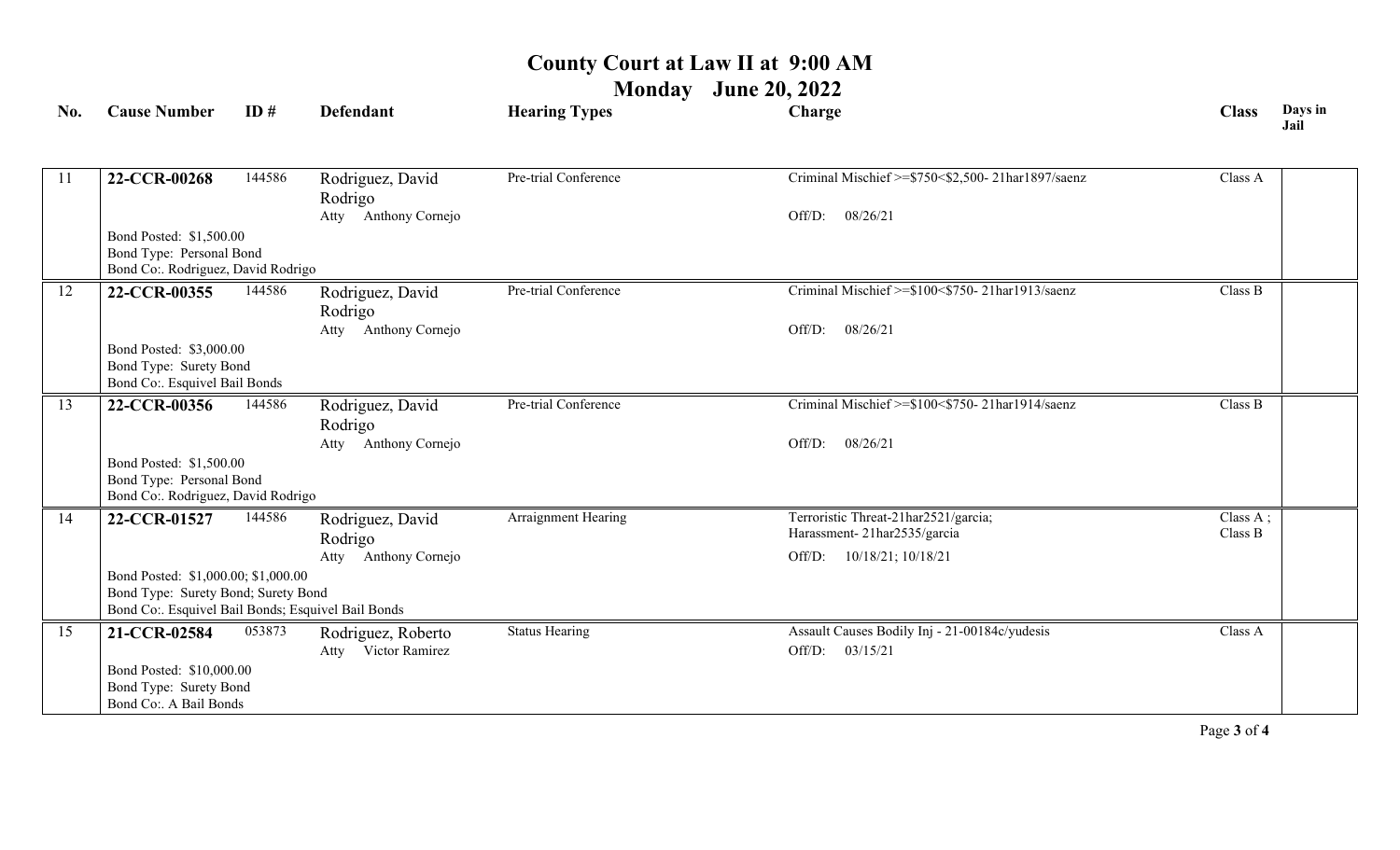**Monday June 20, 2022**

| No. | <b>Cause Number</b>                                                                       | ID#    | <b>Defendant</b>                | <b>Hearing Types</b>  | Charge                                            | <b>Class</b> | Days in<br>Jail |
|-----|-------------------------------------------------------------------------------------------|--------|---------------------------------|-----------------------|---------------------------------------------------|--------------|-----------------|
|     |                                                                                           |        |                                 |                       |                                                   |              |                 |
| 11  | 22-CCR-00268                                                                              | 144586 | Rodriguez, David                | Pre-trial Conference  | Criminal Mischief >=\$750<\$2,500-21har1897/saenz | Class A      |                 |
|     |                                                                                           |        | Rodrigo                         |                       |                                                   |              |                 |
|     |                                                                                           |        | Atty Anthony Cornejo            |                       | 08/26/21<br>Off/D:                                |              |                 |
|     | Bond Posted: \$1,500.00<br>Bond Type: Personal Bond                                       |        |                                 |                       |                                                   |              |                 |
|     | Bond Co:. Rodriguez, David Rodrigo                                                        |        |                                 |                       |                                                   |              |                 |
| 12  | 22-CCR-00355                                                                              | 144586 | Rodriguez, David                | Pre-trial Conference  | Criminal Mischief >=\$100<\$750-21har1913/saenz   | Class B      |                 |
|     |                                                                                           |        | Rodrigo                         |                       |                                                   |              |                 |
|     |                                                                                           |        | Atty Anthony Cornejo            |                       | 08/26/21<br>Off/D:                                |              |                 |
|     | Bond Posted: \$3,000.00                                                                   |        |                                 |                       |                                                   |              |                 |
|     | Bond Type: Surety Bond                                                                    |        |                                 |                       |                                                   |              |                 |
|     | Bond Co:. Esquivel Bail Bonds                                                             |        |                                 |                       |                                                   |              |                 |
| 13  | 22-CCR-00356                                                                              | 144586 | Rodriguez, David                | Pre-trial Conference  | Criminal Mischief >=\$100<\$750-21har1914/saenz   | Class B      |                 |
|     |                                                                                           |        | Rodrigo<br>Atty Anthony Cornejo |                       | 08/26/21<br>Off/D:                                |              |                 |
|     | Bond Posted: \$1,500.00                                                                   |        |                                 |                       |                                                   |              |                 |
|     | Bond Type: Personal Bond                                                                  |        |                                 |                       |                                                   |              |                 |
|     | Bond Co:. Rodriguez, David Rodrigo                                                        |        |                                 |                       |                                                   |              |                 |
| 14  | 22-CCR-01527                                                                              | 144586 | Rodriguez, David                | Arraignment Hearing   | Terroristic Threat-21har2521/garcia;              | Class A;     |                 |
|     |                                                                                           |        | Rodrigo                         |                       | Harassment-21har2535/garcia                       | Class B      |                 |
|     |                                                                                           |        | Anthony Cornejo<br>Atty         |                       | 10/18/21; 10/18/21<br>Off/D:                      |              |                 |
|     | Bond Posted: \$1,000.00; \$1,000.00                                                       |        |                                 |                       |                                                   |              |                 |
|     | Bond Type: Surety Bond; Surety Bond<br>Bond Co:. Esquivel Bail Bonds; Esquivel Bail Bonds |        |                                 |                       |                                                   |              |                 |
| 15  | 21-CCR-02584                                                                              | 053873 | Rodriguez, Roberto              | <b>Status Hearing</b> | Assault Causes Bodily Inj - 21-00184c/yudesis     | Class A      |                 |
|     |                                                                                           |        | Victor Ramirez<br>Atty          |                       | Off/D:<br>03/15/21                                |              |                 |
|     | Bond Posted: \$10,000.00                                                                  |        |                                 |                       |                                                   |              |                 |
|     | Bond Type: Surety Bond                                                                    |        |                                 |                       |                                                   |              |                 |
|     | Bond Co:. A Bail Bonds                                                                    |        |                                 |                       |                                                   |              |                 |